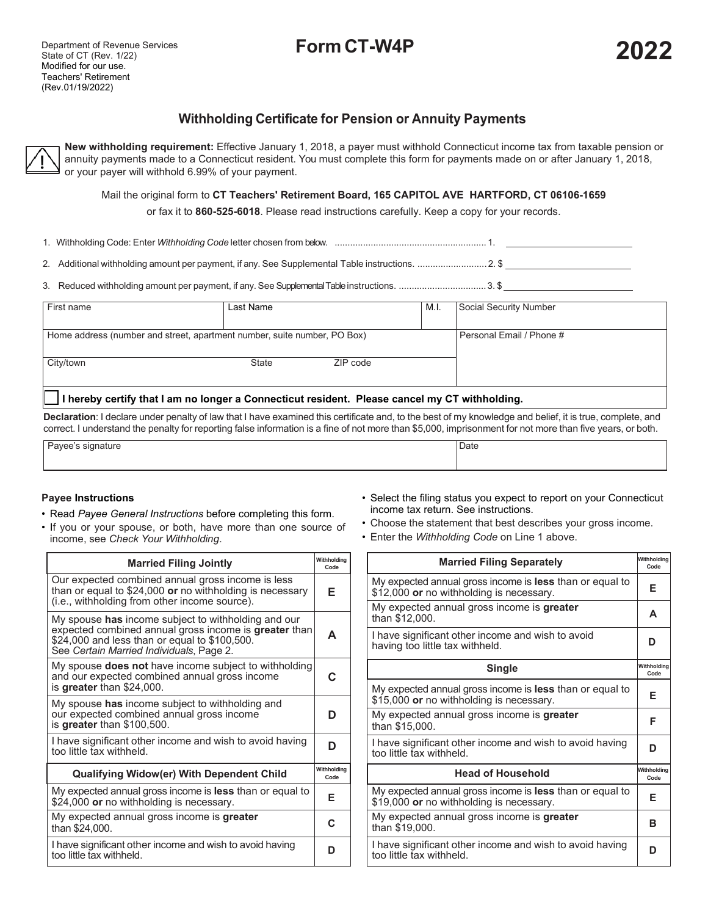# **Form CT-W4P 202**

# **Withholding Certificate for Pension or Annuity Payments**

**New withholding requirement:** Effective January 1, 2018, a payer must withhold Connecticut income tax from taxable pension or annuity payments made to a Connecticut resident. You must complete this form for payments made on or after January 1, 2018, or your payer will withhold 6.99% of your payment.

Mail the original form to **CT Teachers' Retirement Board, 165 CAPITOL AVE HARTFORD, CT 06106-1659**

or fax it to **860-525-6018**. Please read instructions carefully. Keep a copy for your records.

1. Withholding Code: Enter *Withholding Code* letter chosen from below. ........................................................... 1.

2. Additional withholding amount per payment, if any. See Supplemental Table instructions. ...........................2. \$

3. Reduced withholding amount per payment, if any. See Supplemental Tableinstructions. ..................................3. \$

|                                                                                             | Last Name                |          | M.I. | Social Security Number |  |  |  |  |
|---------------------------------------------------------------------------------------------|--------------------------|----------|------|------------------------|--|--|--|--|
| Home address (number and street, apartment number, suite number, PO Box)                    | Personal Email / Phone # |          |      |                        |  |  |  |  |
| City/town                                                                                   | State                    | ZIP code |      |                        |  |  |  |  |
| hereby certify that I am no longer a Connecticut resident. Please cancel my CT withholding. |                          |          |      |                        |  |  |  |  |

**Declaration**: I declare under penalty of law that I have examined this certificate and, to the best of my knowledge and belief, it is true, complete, and correct. I understand the penalty for reporting false information is a fine of not more than \$5,000, imprisonment for not more than five years, or both.

| ົ ຕ_<br>$\sim$ i $\sim$<br>nature | $\overline{\phantom{0}}$<br>, Date |
|-----------------------------------|------------------------------------|
|                                   |                                    |

## **Payee Instructions**

- Read *Payee General Instructions* before completing this form.
- If you or your spouse, or both, have more than one source of income, see *Check Your Withholding*.
- Select the filing status you expect to report on your Connecticut income tax return. See instructions.
- Choose the statement that best describes your gross income.
- Enter the *Withholding Code* on Line 1 above.

| <b>Married Filing Jointly</b>                                                                                                                                                                                           |   |  |  |  |  |
|-------------------------------------------------------------------------------------------------------------------------------------------------------------------------------------------------------------------------|---|--|--|--|--|
| Our expected combined annual gross income is less<br>than or equal to \$24,000 or no withholding is necessary<br>(i.e., withholding from other income source).                                                          | Е |  |  |  |  |
| My spouse <b>has</b> income subject to withholding and our<br>expected combined annual gross income is <b>greater</b> than<br>\$24,000 and less than or equal to \$100,500.<br>See Certain Married Individuals, Page 2. | А |  |  |  |  |
| My spouse <b>does not</b> have income subject to withholding<br>and our expected combined annual gross income<br>is greater than \$24,000.                                                                              | C |  |  |  |  |
| My spouse has income subject to withholding and<br>our expected combined annual gross income<br>is greater than \$100,500.                                                                                              | D |  |  |  |  |
| I have significant other income and wish to avoid having<br>too little tax withheld.                                                                                                                                    | D |  |  |  |  |
| Qualifying Widow(er) With Dependent Child                                                                                                                                                                               |   |  |  |  |  |
| My expected annual gross income is less than or equal to<br>\$24,000 or no withholding is necessary.                                                                                                                    | Е |  |  |  |  |
| My expected annual gross income is greater<br>than \$24,000.                                                                                                                                                            | C |  |  |  |  |
| I have significant other income and wish to avoid having<br>too little tax withheld.                                                                                                                                    | D |  |  |  |  |

| <b>Married Filing Separately</b>                                                                     | Withholding<br>Code |
|------------------------------------------------------------------------------------------------------|---------------------|
| My expected annual gross income is less than or equal to<br>\$12,000 or no withholding is necessary. | Е                   |
| My expected annual gross income is greater<br>than \$12,000.                                         | A                   |
| I have significant other income and wish to avoid<br>having too little tax withheld.                 | D                   |
| Single                                                                                               | Withholdina<br>Code |
| My expected annual gross income is less than or equal to<br>\$15,000 or no withholding is necessary. | F                   |
| My expected annual gross income is greater<br>than \$15,000.                                         | F                   |
| I have significant other income and wish to avoid having<br>too little tax withheld.                 | D                   |
| <b>Head of Household</b>                                                                             | Withholdina<br>Code |
| My expected annual gross income is less than or equal to<br>\$19,000 or no withholding is necessary. | F                   |
| My expected annual gross income is greater<br>than \$19,000.                                         | B                   |
| I have significant other income and wish to avoid having<br>too little fax withheld.                 | D                   |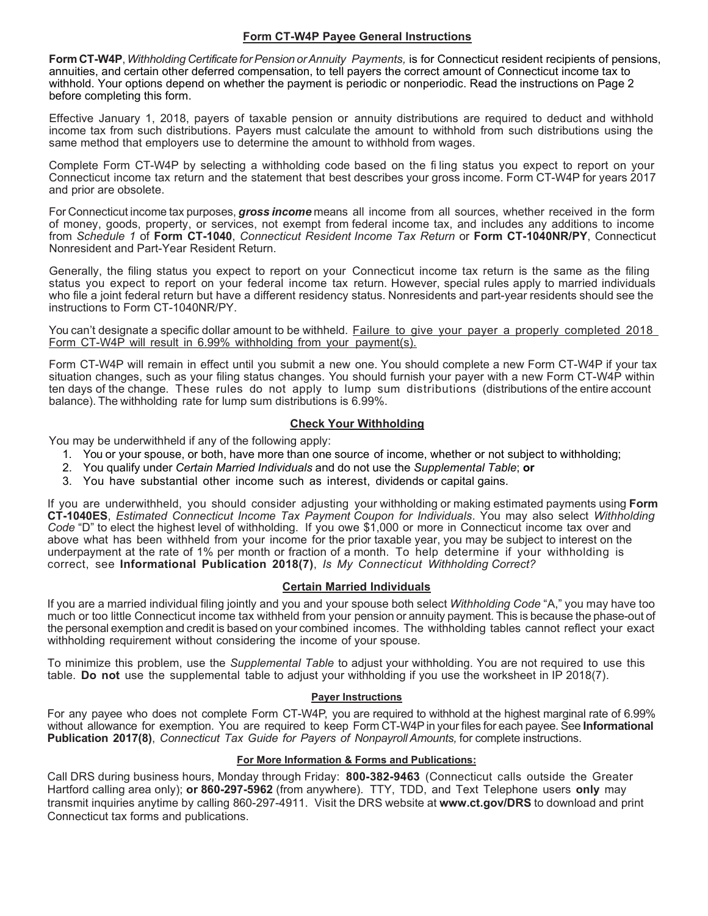# **Form CT-W4P Payee General Instructions**

**FormCT-W4P**, *Withholding Certificate forPension orAnnuity Payments,* is for Connecticut resident recipients of pensions, annuities, and certain other deferred compensation, to tell payers the correct amount of Connecticut income tax to withhold. Your options depend on whether the payment is periodic or nonperiodic. Read the instructions on Page 2 before completing this form.

Effective January 1, 2018, payers of taxable pension or annuity distributions are required to deduct and withhold income tax from such distributions. Payers must calculate the amount to withhold from such distributions using the same method that employers use to determine the amount to withhold from wages.

Complete Form CT-W4P by selecting a withholding code based on the fi ling status you expect to report on your Connecticut income tax return and the statement that best describes your gross income. Form CT-W4P for years 2017 and prior are obsolete.

For Connecticut income tax purposes, *gross income* means all income from all sources, whether received in the form of money, goods, property, or services, not exempt from federal income tax, and includes any additions to income from *Schedule 1* of **Form CT-1040**, *Connecticut Resident Income Tax Return* or **Form CT-1040NR/PY**, Connecticut Nonresident and Part-Year Resident Return.

Generally, the filing status you expect to report on your Connecticut income tax return is the same as the filing status you expect to report on your federal income tax return. However, special rules apply to married individuals who file a joint federal return but have a different residency status. Nonresidents and part-year residents should see the instructions to Form CT-1040NR/PY.

You can't designate a specific dollar amount to be withheld. Failure to give your payer a properly completed 2018 Form CT-W4P will result in 6.99% withholding from your payment(s).

Form CT-W4P will remain in effect until you submit a new one. You should complete a new Form CT-W4P if your tax situation changes, such as your filing status changes. You should furnish your payer with a new Form CT-W4P within ten days of the change. These rules do not apply to lump sum distributions (distributions of the entire account balance). The withholding rate for lump sum distributions is 6.99%.

# **Check Your Withholding**

You may be underwithheld if any of the following apply:

- 1. You or your spouse, or both, have more than one source of income, whether or not subject to withholding;
- 2. You qualify under *Certain Married Individuals* and do not use the *Supplemental Table*; **or**
- 3. You have substantial other income such as interest, dividends or capital gains.

If you are underwithheld, you should consider adjusting your withholding or making estimated payments using **Form CT-1040ES**, *Estimated Connecticut Income Tax Payment Coupon for Individuals*. You may also select *Withholding Code* "D" to elect the highest level of withholding. If you owe \$1,000 or more in Connecticut income tax over and above what has been withheld from your income for the prior taxable year, you may be subject to interest on the underpayment at the rate of 1% per month or fraction of a month. To help determine if your withholding is correct, see **Informational Publication 2018(7)**, *Is My Connecticut Withholding Correct?*

## **Certain Married Individuals**

If you are a married individual filing jointly and you and your spouse both select *Withholding Code* "A," you may have too much or too little Connecticut income tax withheld from your pension or annuity payment. This is because the phase-out of the personal exemption and credit is based on your combined incomes. The withholding tables cannot reflect your exact withholding requirement without considering the income of your spouse.

To minimize this problem, use the *Supplemental Table* to adjust your withholding. You are not required to use this table. **Do not** use the supplemental table to adjust your withholding if you use the worksheet in IP 2018(7).

## **Payer Instructions**

For any payee who does not complete Form CT-W4P, you are required to withhold at the highest marginal rate of 6.99% without allowance for exemption. You are required to keep Form CT-W4Pin your files for each payee. See **Informational Publication 2017(8)**, *Connecticut Tax Guide for Payers of Nonpayroll Amounts,* for complete instructions.

## **For More Information & Forms and Publications:**

Call DRS during business hours, Monday through Friday: **800-382-9463** (Connecticut calls outside the Greater Hartford calling area only); **or 860-297-5962** (from anywhere). TTY, TDD, and Text Telephone users **only** may transmit inquiries anytime by calling 860-297-4911. Visit the DRS website at **[www.ct.gov/DRS](http://www.ct.gov/DRS)** to download and print Connecticut tax forms and publications.